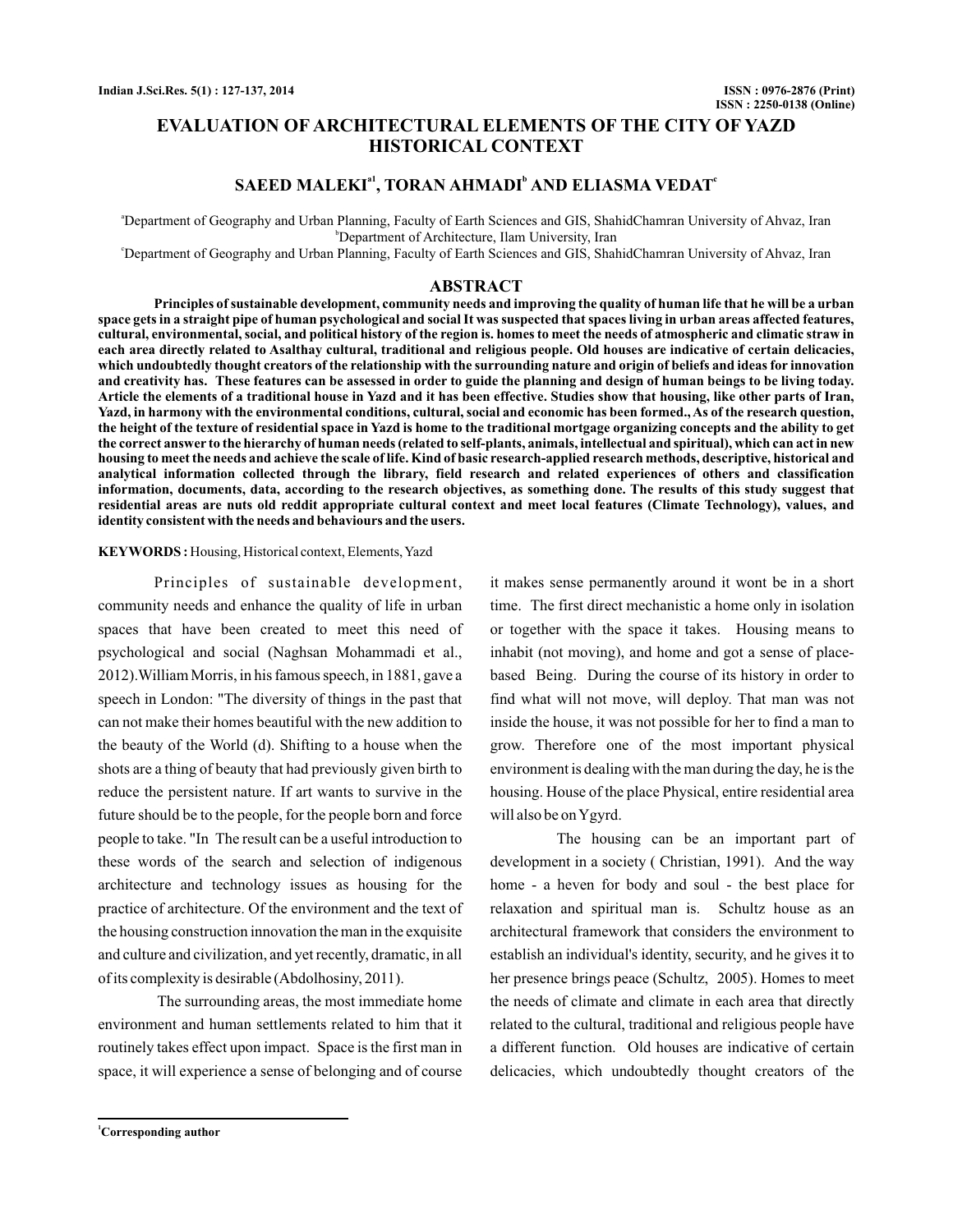# **EVALUATION OF ARCHITECTURAL ELEMENTS OF THE CITY OF YAZD HISTORICAL CONTEXT**

# $S$ **AEED MALEKI<sup>a1</sup>, TORAN AHMADI<sup>b</sup> AND ELIASMA VEDAT<sup>c</sup>**

a Department of Geography and Urban Planning, Faculty of Earth Sciences and GIS, ShahidChamran University of Ahvaz, Iran b Department of Architecture, Ilam University, Iran

c Department of Geography and Urban Planning, Faculty of Earth Sciences and GIS, ShahidChamran University of Ahvaz, Iran

## **ABSTRACT**

**Principles of sustainable development, community needs and improving the quality of human life that he will be a urban space gets in a straight pipe of human psychological and social It was suspected that spaces living in urban areas affected features, cultural, environmental, social, and political history of the region is. homes to meet the needs of atmospheric and climatic straw in each area directly related to Asalthay cultural, traditional and religious people. Old houses are indicative of certain delicacies, which undoubtedly thought creators of the relationship with the surrounding nature and origin of beliefs and ideas for innovation and creativity has. These features can be assessed in order to guide the planning and design of human beings to be living today. Article the elements of a traditional house in Yazd and it has been effective. Studies show that housing, like other parts of Iran, Yazd, in harmony with the environmental conditions, cultural, social and economic has been formed., As of the research question, the height of the texture of residential space in Yazd is home to the traditional mortgage organizing concepts and the ability to get the correct answer to the hierarchy of human needs (related to self-plants, animals, intellectual and spiritual), which can act in new housing to meet the needs and achieve the scale of life. Kind of basic research-applied research methods, descriptive, historical and analytical information collected through the library, field research and related experiences of others and classification information, documents, data, according to the research objectives, as something done. The results of this study suggest that residential areas are nuts old reddit appropriate cultural context and meet local features (Climate Technology), values, and identity consistent with the needs and behaviours and the users.**

### **KEYWORDS :** Housing, Historical context, Elements,Yazd

Principles of sustainable development, community needs and enhance the quality of life in urban spaces that have been created to meet this need of psychological and social (Naghsan Mohammadi et al., 2012).William Morris, in his famous speech, in 1881, gave a speech in London: "The diversity of things in the past that can not make their homes beautiful with the new addition to the beauty of the World (d). Shifting to a house when the shots are a thing of beauty that had previously given birth to reduce the persistent nature. If art wants to survive in the future should be to the people, for the people born and force people to take. "In The result can be a useful introduction to these words of the search and selection of indigenous architecture and technology issues as housing for the practice of architecture. Of the environment and the text of the housing construction innovation the man in the exquisite and culture and civilization, and yet recently, dramatic, in all of its complexity is desirable (Abdolhosiny, 2011).

The surrounding areas, the most immediate home environment and human settlements related to him that it routinely takes effect upon impact. Space is the first man in space, it will experience a sense of belonging and of course it makes sense permanently around it wont be in a short time. The first direct mechanistic a home only in isolation or together with the space it takes. Housing means to inhabit (not moving), and home and got a sense of placebased Being. During the course of its history in order to find what will not move, will deploy. That man was not inside the house, it was not possible for her to find a man to grow. Therefore one of the most important physical environment is dealing with the man during the day, he is the housing. House of the place Physical, entire residential area will also be onYgyrd.

The housing can be an important part of development in a society ( Christian, 1991). And the way home - a heven for body and soul - the best place for relaxation and spiritual man is. Schultz house as an architectural framework that considers the environment to establish an individual's identity, security, and he gives it to her presence brings peace (Schultz, 2005). Homes to meet the needs of climate and climate in each area that directly related to the cultural, traditional and religious people have a different function. Old houses are indicative of certain delicacies, which undoubtedly thought creators of the

**<sup>1</sup>Corresponding author**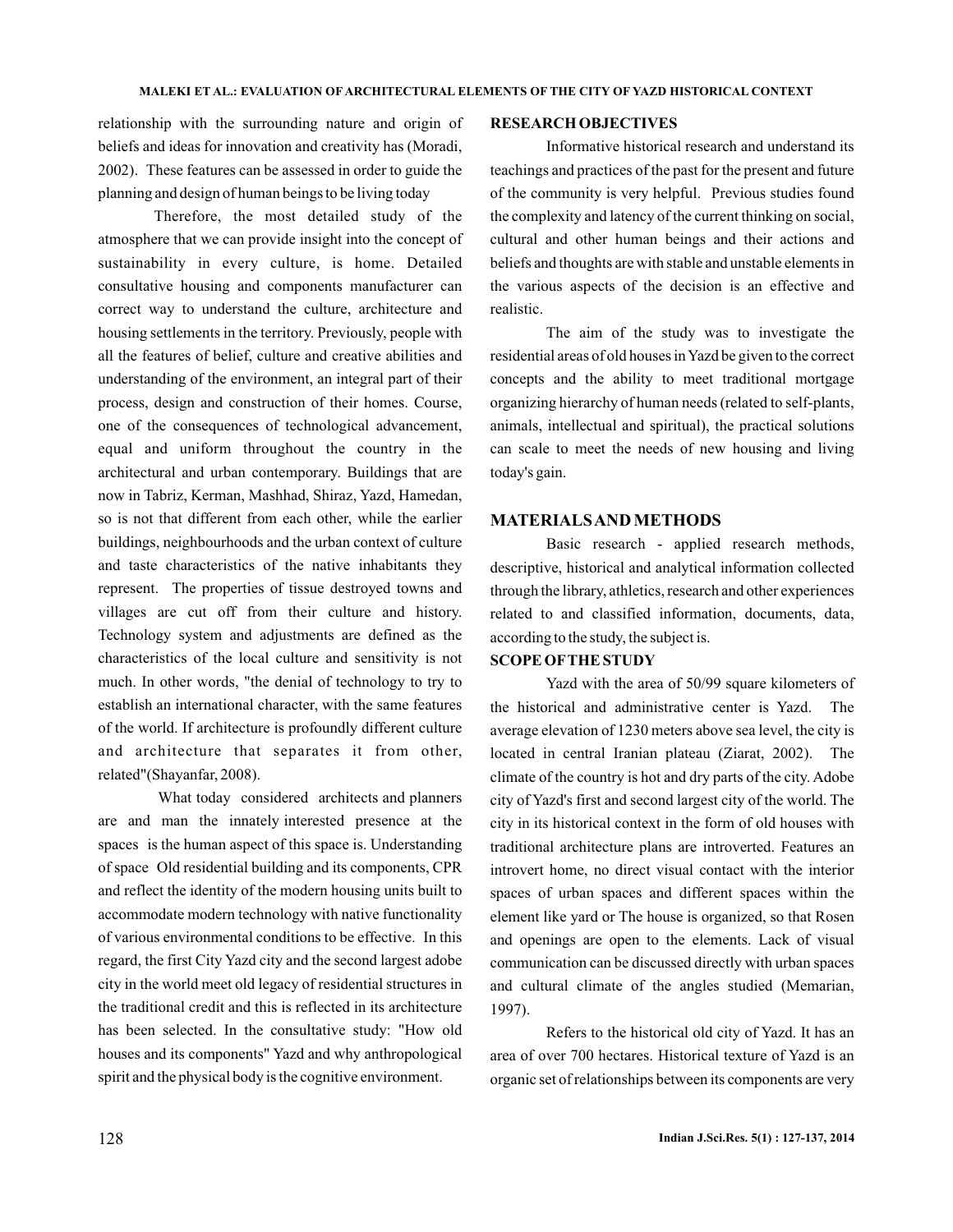relationship with the surrounding nature and origin of beliefs and ideas for innovation and creativity has (Moradi, 2002). These features can be assessed in order to guide the planning and design of human beings to be living today

Therefore, the most detailed study of the atmosphere that we can provide insight into the concept of sustainability in every culture, is home. Detailed consultative housing and components manufacturer can correct way to understand the culture, architecture and housing settlements in the territory. Previously, people with all the features of belief, culture and creative abilities and understanding of the environment, an integral part of their process, design and construction of their homes. Course, one of the consequences of technological advancement, equal and uniform throughout the country in the architectural and urban contemporary. Buildings that are now in Tabriz, Kerman, Mashhad, Shiraz, Yazd, Hamedan, so is not that different from each other, while the earlier buildings, neighbourhoods and the urban context of culture and taste characteristics of the native inhabitants they represent. The properties of tissue destroyed towns and villages are cut off from their culture and history. Technology system and adjustments are defined as the characteristics of the local culture and sensitivity is not much. In other words, "the denial of technology to try to establish an international character, with the same features of the world. If architecture is profoundly different culture and architecture that separates it from other, related"(Shayanfar, 2008).

What today considered architects and planners are and man the innately interested presence at the spaces is the human aspect of this space is. Understanding of space Old residential building and its components, CPR and reflect the identity of the modern housing units built to accommodate modern technology with native functionality of various environmental conditions to be effective. In this regard, the first City Yazd city and the second largest adobe city in the world meet old legacy of residential structures in the traditional credit and this is reflected in its architecture has been selected. In the consultative study: "How old houses and its components" Yazd and why anthropological spirit and the physical body is the cognitive environment.

### **RESEARCH OBJECTIVES**

Informative historical research and understand its teachings and practices of the past for the present and future of the community is very helpful. Previous studies found the complexity and latency of the current thinking on social, cultural and other human beings and their actions and beliefs and thoughts are with stable and unstable elements in the various aspects of the decision is an effective and realistic.

The aim of the study was to investigate the residential areas of old houses inYazd be given to the correct concepts and the ability to meet traditional mortgage organizing hierarchy of human needs (related to self-plants, animals, intellectual and spiritual), the practical solutions can scale to meet the needs of new housing and living today's gain.

## **MATERIALSAND METHODS**

Basic research - applied research methods, descriptive, historical and analytical information collected through the library, athletics, research and other experiences related to and classified information, documents, data, according to the study, the subject is.

## **SCOPE OFTHE STUDY**

Yazd with the area of 50/99 square kilometers of the historical and administrative center is Yazd. The average elevation of 1230 meters above sea level, the city is located in central Iranian plateau (Ziarat, 2002). The climate of the country is hot and dry parts of the city. Adobe city of Yazd's first and second largest city of the world. The city in its historical context in the form of old houses with traditional architecture plans are introverted. Features an introvert home, no direct visual contact with the interior spaces of urban spaces and different spaces within the element like yard or The house is organized, so that Rosen and openings are open to the elements. Lack of visual communication can be discussed directly with urban spaces and cultural climate of the angles studied (Memarian, 1997).

Refers to the historical old city of Yazd. It has an area of over 700 hectares. Historical texture of Yazd is an organic set of relationships between its components are very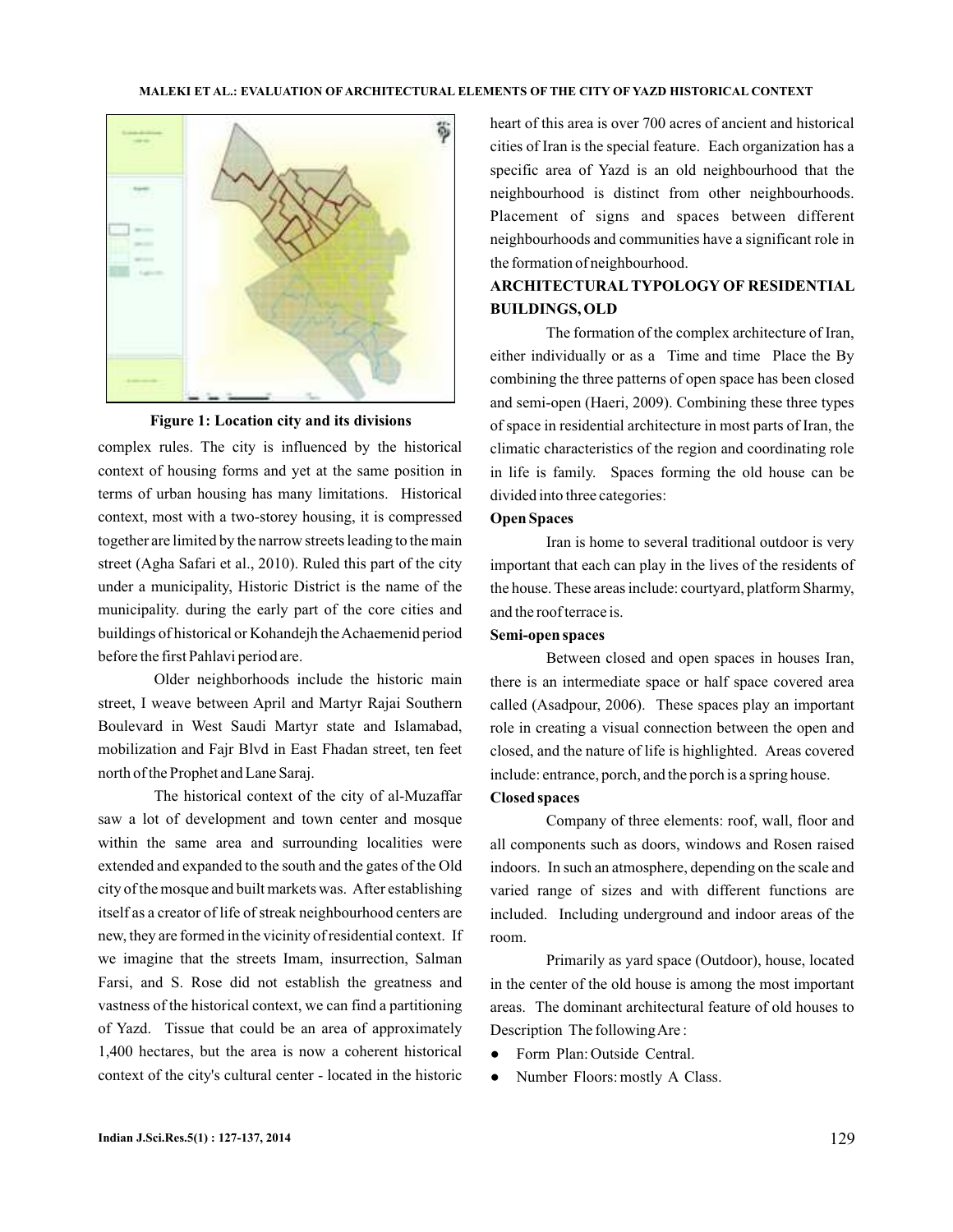

**Figure 1: Location city and its divisions**

complex rules. The city is influenced by the historical context of housing forms and yet at the same position in terms of urban housing has many limitations. Historical context, most with a two-storey housing, it is compressed together are limited by the narrow streets leading to the main street (Agha Safari et al., 2010). Ruled this part of the city under a municipality, Historic District is the name of the municipality. during the early part of the core cities and buildings of historical or Kohandejh the Achaemenid period before the first Pahlavi period are.

Older neighborhoods include the historic main street, I weave between April and Martyr Rajai Southern Boulevard in West Saudi Martyr state and Islamabad, mobilization and Fajr Blvd in East Fhadan street, ten feet north of the Prophet and Lane Saraj.

The historical context of the city of al-Muzaffar saw a lot of development and town center and mosque within the same area and surrounding localities were extended and expanded to the south and the gates of the Old city of the mosque and built markets was. After establishing itself as a creator of life of streak neighbourhood centers are new, they are formed in the vicinity of residential context. If we imagine that the streets Imam, insurrection, Salman Farsi, and S. Rose did not establish the greatness and vastness of the historical context, we can find a partitioning of Yazd. Tissue that could be an area of approximately 1,400 hectares, but the area is now a coherent historical context of the city's cultural center - located in the historic

heart of this area is over 700 acres of ancient and historical cities of Iran is the special feature. Each organization has a specific area of Yazd is an old neighbourhood that the neighbourhood is distinct from other neighbourhoods. Placement of signs and spaces between different neighbourhoods and communities have a significant role in the formation of neighbourhood.

# **ARCHITECTURAL TYPOLOGY OF RESIDENTIAL BUILDINGS, OLD**

The formation of the complex architecture of Iran, either individually or as a Time and time Place the By combining the three patterns of open space has been closed and semi-open (Haeri, 2009). Combining these three types of space in residential architecture in most parts of Iran, the climatic characteristics of the region and coordinating role in life is family. Spaces forming the old house can be divided into three categories:

## **Open Spaces**

Iran is home to several traditional outdoor is very important that each can play in the lives of the residents of the house. These areas include: courtyard, platform Sharmy, and the roof terrace is.

## **Semi-open spaces**

Between closed and open spaces in houses Iran, there is an intermediate space or half space covered area called (Asadpour, 2006). These spaces play an important role in creating a visual connection between the open and closed, and the nature of life is highlighted. Areas covered include: entrance, porch, and the porch is a spring house.

## **Closed spaces**

Company of three elements: roof, wall, floor and all components such as doors, windows and Rosen raised indoors. In such an atmosphere, depending on the scale and varied range of sizes and with different functions are included. Including underground and indoor areas of the room.

Primarily as yard space (Outdoor), house, located in the center of the old house is among the most important areas. The dominant architectural feature of old houses to Description The following Are:

- Form Plan: Outside Central. ●
- Number Floors: mostly A Class. ●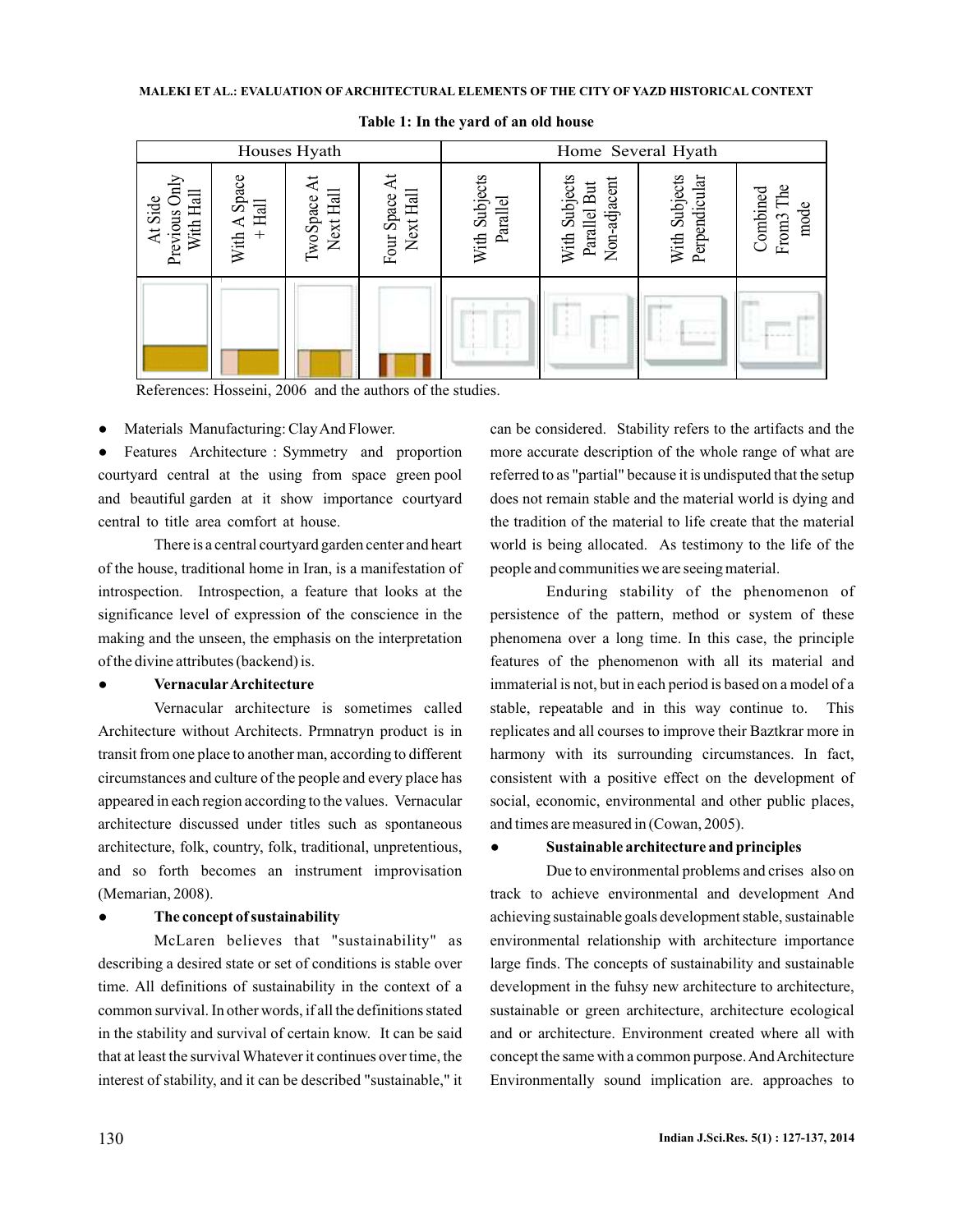| Houses Hyath                          |                        |                                    |  | Home Several Hyath        |                                               |                                |                                              |  |  |
|---------------------------------------|------------------------|------------------------------------|--|---------------------------|-----------------------------------------------|--------------------------------|----------------------------------------------|--|--|
| Previous Only<br>With Hall<br>At Side | With A Space<br>+ Hall | Next Hall<br>Four Space<br>woSpace |  | With Subjects<br>Parallel | With Subjects<br>Parallel But<br>Non-adjacent | With Subjects<br>Perpendicular | The<br>Combined<br>mode<br>From <sub>3</sub> |  |  |
|                                       |                        |                                    |  |                           |                                               |                                |                                              |  |  |

**Table 1: In the yard of an old house**

References: Hosseini, 2006 and the authors of the studies.

● Materials Manufacturing: ClayAnd Flower.

● Features Architecture : Symmetry and proportion courtyard central at the using from space green pool and beautiful garden at it show importance courtyard central to title area comfort at house.

There is a central courtyard garden center and heart of the house, traditional home in Iran, is a manifestation of introspection. Introspection, a feature that looks at the significance level of expression of the conscience in the making and the unseen, the emphasis on the interpretation of the divine attributes (backend) is.

#### ● **VernacularArchitecture**

Vernacular architecture is sometimes called Architecture without Architects. Prmnatryn product is in transit from one place to another man, according to different circumstances and culture of the people and every place has appeared in each region according to the values. Vernacular architecture discussed under titles such as spontaneous architecture, folk, country, folk, traditional, unpretentious, and so forth becomes an instrument improvisation (Memarian, 2008).

#### ● **The concept of sustainability**

McLaren believes that "sustainability" as describing a desired state or set of conditions is stable over time. All definitions of sustainability in the context of a common survival. In other words, if all the definitions stated in the stability and survival of certain know. It can be said that at least the survival Whatever it continues over time, the interest of stability, and it can be described "sustainable," it can be considered. Stability refers to the artifacts and the more accurate description of the whole range of what are referred to as "partial" because it is undisputed that the setup does not remain stable and the material world is dying and the tradition of the material to life create that the material world is being allocated. As testimony to the life of the people and communities we are seeing material.

Enduring stability of the phenomenon of persistence of the pattern, method or system of these phenomena over a long time. In this case, the principle features of the phenomenon with all its material and immaterial is not, but in each period is based on a model of a stable, repeatable and in this way continue to. This replicates and all courses to improve their Baztkrar more in harmony with its surrounding circumstances. In fact, consistent with a positive effect on the development of social, economic, environmental and other public places, and times are measured in (Cowan, 2005).

## ● **Sustainable architecture and principles**

Due to environmental problems and crises also on track to achieve environmental and development And achieving sustainable goals development stable, sustainable environmental relationship with architecture importance large finds. The concepts of sustainability and sustainable development in the fuhsy new architecture to architecture, sustainable or green architecture, architecture ecological and or architecture. Environment created where all with concept the same with a common purpose.AndArchitecture Environmentally sound implication are. approaches to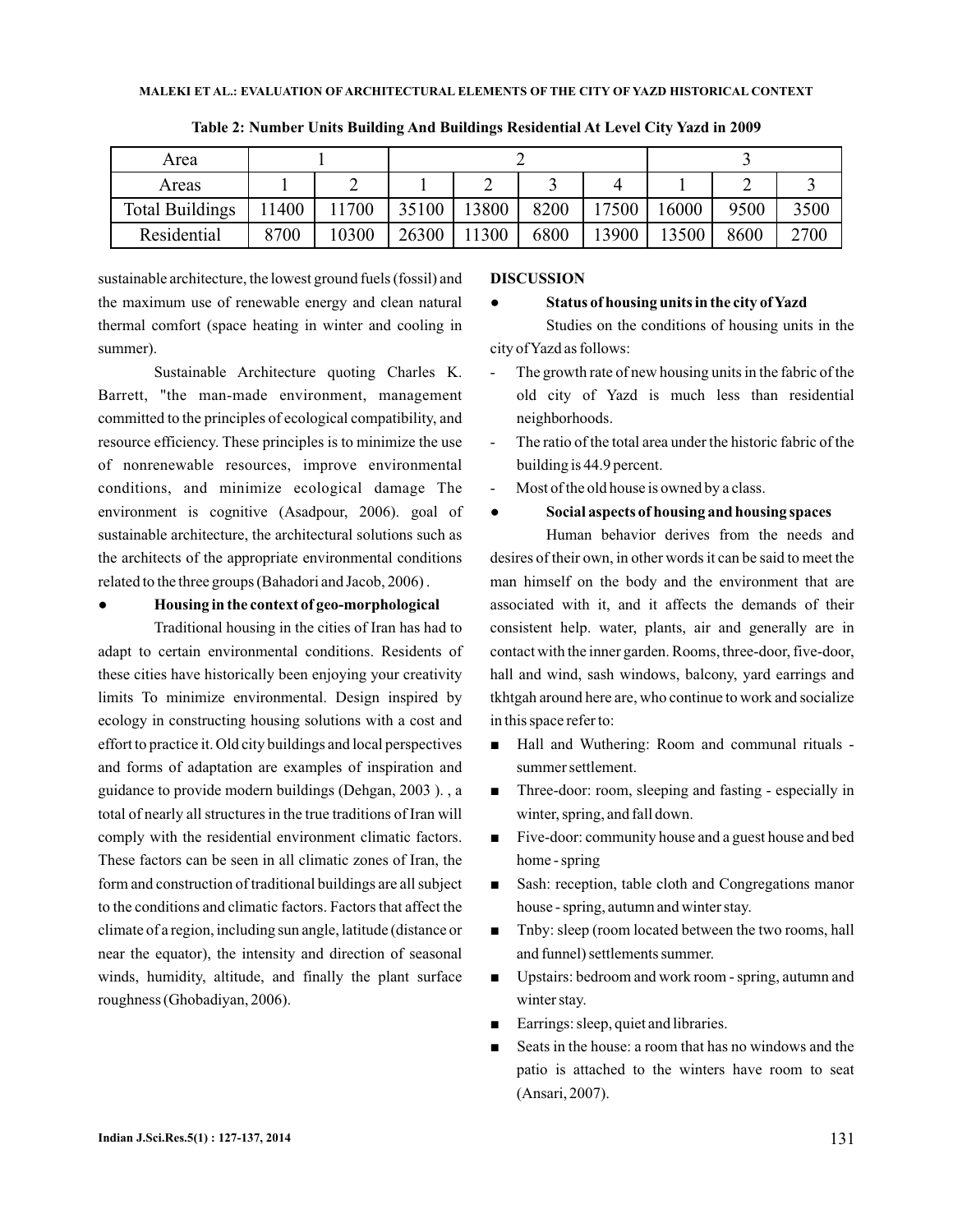| Area                   |      |      |       |       |      |       |       |      |      |
|------------------------|------|------|-------|-------|------|-------|-------|------|------|
| Areas                  |      |      |       |       |      |       |       |      |      |
| <b>Total Buildings</b> | 1400 | 1700 | 35100 | 13800 | 8200 | 17500 | 16000 | 9500 | 3500 |
| Residential            | 8700 | 0300 | 26300 | 1300  | 6800 | 13900 | 13500 | 8600 | 2700 |

●

**Table 2: Number Units Building And Buildings Residential At Level City Yazd in 2009**

sustainable architecture, the lowest ground fuels (fossil) and the maximum use of renewable energy and clean natural thermal comfort (space heating in winter and cooling in summer).

Sustainable Architecture quoting Charles K. Barrett, "the man-made environment, management committed to the principles of ecological compatibility, and resource efficiency. These principles is to minimize the use of nonrenewable resources, improve environmental conditions, and minimize ecological damage The environment is cognitive (Asadpour, 2006). goal of sustainable architecture, the architectural solutions such as the architects of the appropriate environmental conditions related to the three groups (Bahadori and Jacob, 2006) .

## ● **Housing in the context of geo-morphological**

Traditional housing in the cities of Iran has had to adapt to certain environmental conditions. Residents of these cities have historically been enjoying your creativity limits To minimize environmental. Design inspired by ecology in constructing housing solutions with a cost and effort to practice it. Old city buildings and local perspectives and forms of adaptation are examples of inspiration and guidance to provide modern buildings (Dehgan, 2003 ). , a total of nearly all structures in the true traditions of Iran will comply with the residential environment climatic factors. These factors can be seen in all climatic zones of Iran, the form and construction of traditional buildings are all subject to the conditions and climatic factors. Factors that affect the climate of a region, including sun angle, latitude (distance or near the equator), the intensity and direction of seasonal winds, humidity, altitude, and finally the plant surface roughness (Ghobadiyan, 2006).

### **DISCUSSION**

#### ● **Status of housing units in the city ofYazd**

Studies on the conditions of housing units in the city ofYazd as follows:

- The growth rate of new housing units in the fabric of the old city of Yazd is much less than residential neighborhoods.
- The ratio of the total area under the historic fabric of the building is 44.9 percent.
- Most of the old house is owned by a class.

# **Social aspects of housing and housing spaces**

Human behavior derives from the needs and desires of their own, in other words it can be said to meet the man himself on the body and the environment that are associated with it, and it affects the demands of their consistent help. water, plants, air and generally are in contact with the inner garden. Rooms, three-door, five-door, hall and wind, sash windows, balcony, yard earrings and tkhtgah around here are, who continue to work and socialize in this space refer to:

- Hall and Wuthering: Room and communal rituals summer settlement. ■
- Three-door: room, sleeping and fasting especially in winter, spring, and fall down.
- Five-door: community house and a guest house and bed home - spring
- Sash: reception, table cloth and Congregations manor house - spring, autumn and winter stay.
- Tnby: sleep (room located between the two rooms, hall and funnel) settlements summer.
- Upstairs: bedroom and work room spring, autumn and winter stay.
- Earrings: sleep, quiet and libraries.
- Seats in the house: a room that has no windows and the patio is attached to the winters have room to seat (Ansari, 2007).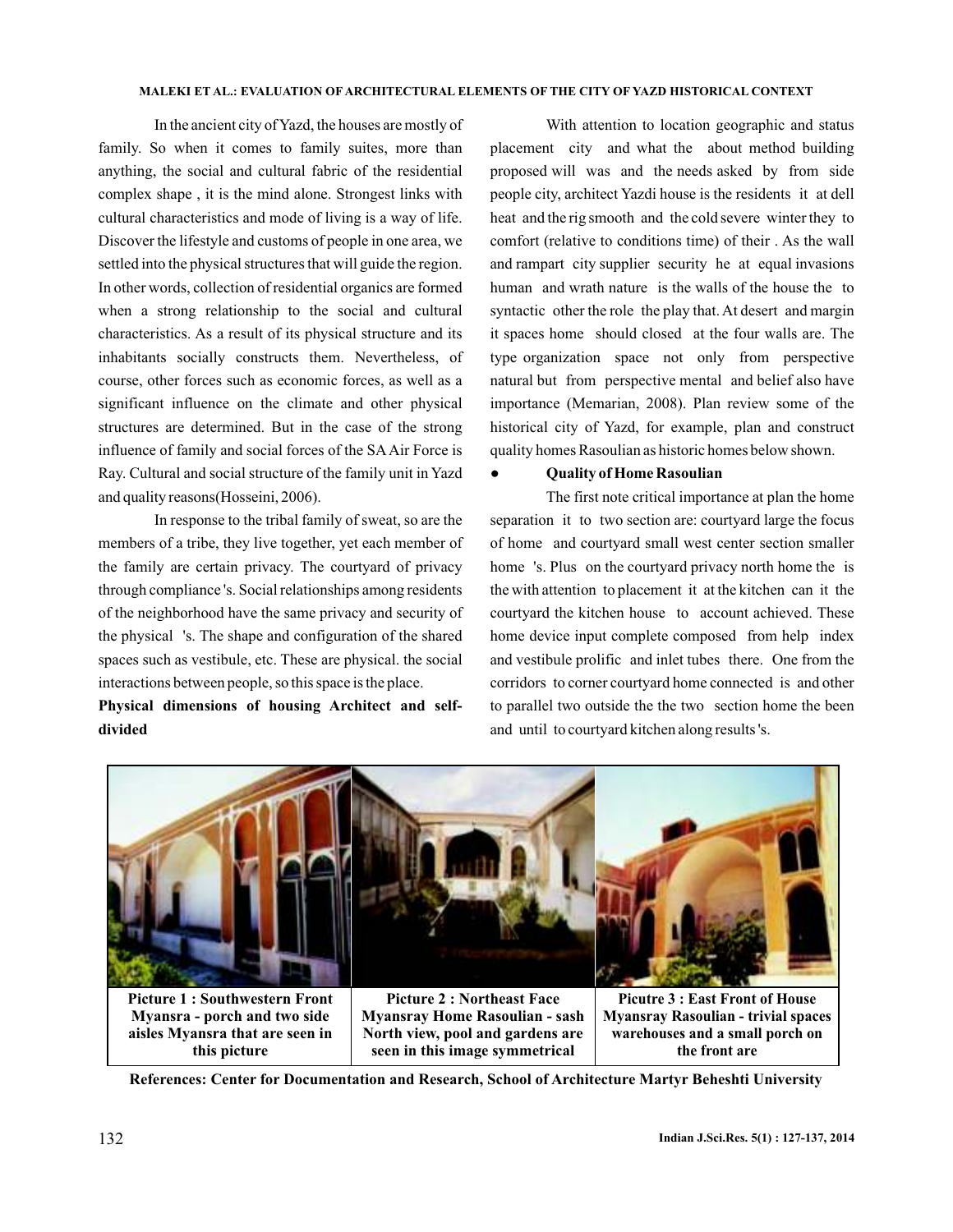### **MALEKI ET AL.: EVALUATION OF ARCHITECTURAL ELEMENTS OF THE CITY OF YAZD HISTORICAL CONTEXT**

In the ancient city ofYazd, the houses are mostly of family. So when it comes to family suites, more than anything, the social and cultural fabric of the residential complex shape , it is the mind alone. Strongest links with cultural characteristics and mode of living is a way of life. Discover the lifestyle and customs of people in one area, we settled into the physical structures that will guide the region. In other words, collection of residential organics are formed when a strong relationship to the social and cultural characteristics. As a result of its physical structure and its inhabitants socially constructs them. Nevertheless, of course, other forces such as economic forces, as well as a significant influence on the climate and other physical structures are determined. But in the case of the strong influence of family and social forces of the SAAir Force is Ray. Cultural and social structure of the family unit in Yazd and quality reasons(Hosseini, 2006).

In response to the tribal family of sweat, so are the members of a tribe, they live together, yet each member of the family are certain privacy. The courtyard of privacy through compliance 's. Social relationships among residents of the neighborhood have the same privacy and security of the physical 's. The shape and configuration of the shared spaces such as vestibule, etc. These are physical. the social interactions between people, so this space is the place.

**Physical dimensions of housing Architect and selfdivided**

With attention to location geographic and status placement city and what the about method building proposed will was and the needs asked by from side people city, architect Yazdi house is the residents it at dell heat and the rig smooth and the cold severe winter they to comfort (relative to conditions time) of their . As the wall and rampart city supplier security he at equal invasions human and wrath nature is the walls of the house the to syntactic other the role the play that. At desert and margin it spaces home should closed at the four walls are. The type organization space not only from perspective natural but from perspective mental and belief also have importance (Memarian, 2008). Plan review some of the historical city of Yazd, for example, plan and construct quality homes Rasoulian as historic homes below shown.

## ● **Quality of Home Rasoulian**

The first note critical importance at plan the home separation it to two section are: courtyard large the focus of home and courtyard small west center section smaller home 's. Plus on the courtyard privacy north home the is the with attention to placement it at the kitchen can it the courtyard the kitchen house to account achieved. These home device input complete composed from help index and vestibule prolific and inlet tubes there. One from the corridors to corner courtyard home connected is and other to parallel two outside the the two section home the been and until to courtyard kitchen along results 's.



**Picture 1 : Southwestern Front Myansra - porch and two side aisles Myansra that are seen in this picture**

**Picture 2 : Northeast Face Myansray Home Rasoulian - sash North view, pool and gardens are seen in this image symmetrical**

**Picutre 3 : East Front of House Myansray Rasoulian - trivial spaces warehouses and a small porch on the front are**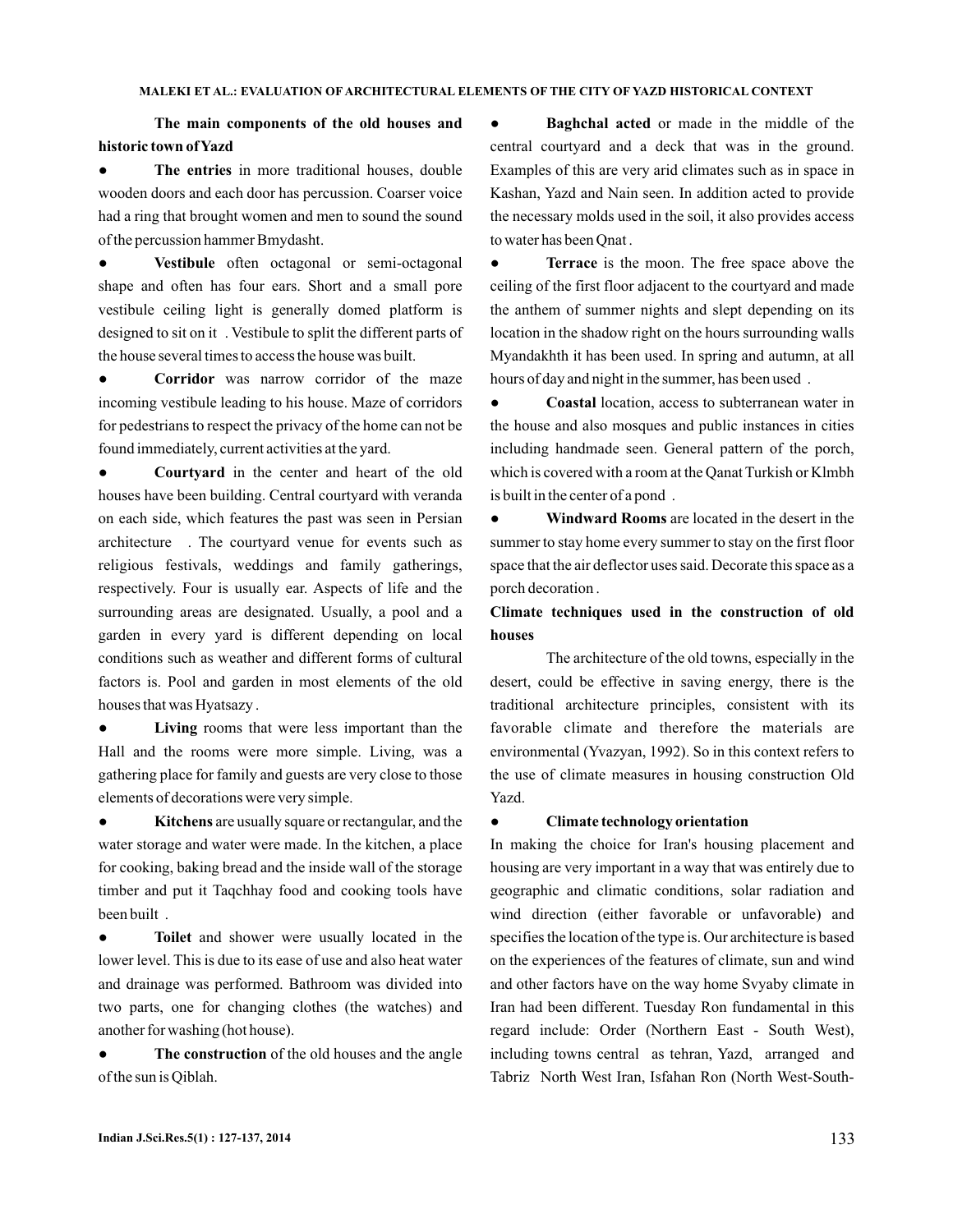**The main components of the old houses and historic town ofYazd**

**• The entries** in more traditional houses, double wooden doors and each door has percussion. Coarser voice had a ring that brought women and men to sound the sound of the percussion hammer Bmydasht.

**•** Vestibule often octagonal or semi-octagonal shape and often has four ears. Short and a small pore vestibule ceiling light is generally domed platform is designed to sit on it . Vestibule to split the different parts of the house several times to access the house was built.

**•** Corridor was narrow corridor of the maze incoming vestibule leading to his house. Maze of corridors for pedestrians to respect the privacy of the home can not be found immediately, current activities at the yard.

**•** Courtyard in the center and heart of the old houses have been building. Central courtyard with veranda on each side, which features the past was seen in Persian architecture . The courtyard venue for events such as religious festivals, weddings and family gatherings, respectively. Four is usually ear. Aspects of life and the surrounding areas are designated. Usually, a pool and a garden in every yard is different depending on local conditions such as weather and different forms of cultural factors is. Pool and garden in most elements of the old houses that was Hyatsazy .

**•** Living rooms that were less important than the Hall and the rooms were more simple. Living, was a gathering place for family and guests are very close to those elements of decorations were very simple.

**•** Kitchens are usually square or rectangular, and the water storage and water were made. In the kitchen, a place for cooking, baking bread and the inside wall of the storage timber and put it Taqchhay food and cooking tools have been built .

**•** Toilet and shower were usually located in the lower level. This is due to its ease of use and also heat water and drainage was performed. Bathroom was divided into two parts, one for changing clothes (the watches) and another for washing (hot house).

**•** The construction of the old houses and the angle of the sun is Qiblah.

**• Baghchal acted** or made in the middle of the central courtyard and a deck that was in the ground. Examples of this are very arid climates such as in space in Kashan, Yazd and Nain seen. In addition acted to provide the necessary molds used in the soil, it also provides access to water has been Qnat .

**• Terrace** is the moon. The free space above the ceiling of the first floor adjacent to the courtyard and made the anthem of summer nights and slept depending on its location in the shadow right on the hours surrounding walls Myandakhth it has been used. In spring and autumn, at all hours of day and night in the summer, has been used .

**• Coastal** location, access to subterranean water in the house and also mosques and public instances in cities including handmade seen. General pattern of the porch, which is covered with a room at the Qanat Turkish or Klmbh is built in the center of a pond .

**•** Windward Rooms are located in the desert in the summer to stay home every summer to stay on the first floor space that the air deflector uses said. Decorate this space as a porch decoration .

# **Climate techniques used in the construction of old houses**

The architecture of the old towns, especially in the desert, could be effective in saving energy, there is the traditional architecture principles, consistent with its favorable climate and therefore the materials are environmental (Yvazyan, 1992). So in this context refers to the use of climate measures in housing construction Old Yazd.

#### ● **Climate technology orientation**

In making the choice for Iran's housing placement and housing are very important in a way that was entirely due to geographic and climatic conditions, solar radiation and wind direction (either favorable or unfavorable) and specifies the location of the type is. Our architecture is based on the experiences of the features of climate, sun and wind and other factors have on the way home Svyaby climate in Iran had been different. Tuesday Ron fundamental in this regard include: Order (Northern East - South West), including towns central as tehran, Yazd, arranged and Tabriz North West Iran, Isfahan Ron (North West-South-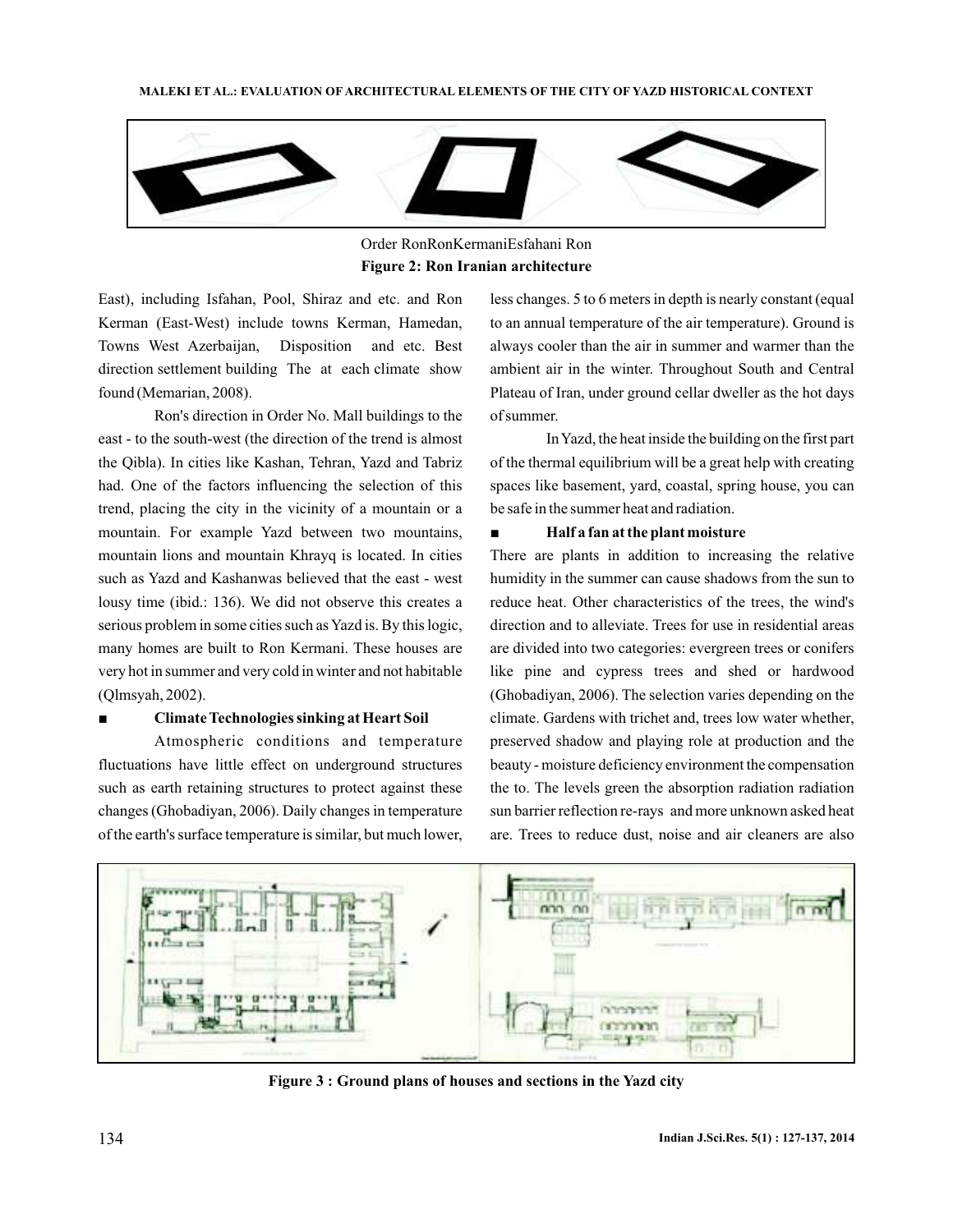

Order RonRonKermaniEsfahani Ron **Figure 2: Ron Iranian architecture**

East), including Isfahan, Pool, Shiraz and etc. and Ron Kerman (East-West) include towns Kerman, Hamedan, Towns West Azerbaijan, Disposition and etc. Best direction settlement building The at each climate show found (Memarian, 2008).

Ron's direction in Order No. Mall buildings to the east - to the south-west (the direction of the trend is almost the Qibla). In cities like Kashan, Tehran, Yazd and Tabriz had. One of the factors influencing the selection of this trend, placing the city in the vicinity of a mountain or a mountain. For example Yazd between two mountains, mountain lions and mountain Khrayq is located. In cities such as Yazd and Kashanwas believed that the east - west lousy time (ibid.: 136). We did not observe this creates a serious problem in some cities such as Yazd is. By this logic, many homes are built to Ron Kermani. These houses are very hot in summer and very cold in winter and not habitable (Qlmsyah, 2002).

## ■ **Climate Technologies sinking at Heart Soil**

Atmospheric conditions and temperature fluctuations have little effect on underground structures such as earth retaining structures to protect against these changes (Ghobadiyan, 2006). Daily changes in temperature of the earth's surface temperature is similar, but much lower,

less changes. 5 to 6 meters in depth is nearly constant (equal to an annual temperature of the air temperature). Ground is always cooler than the air in summer and warmer than the ambient air in the winter. Throughout South and Central Plateau of Iran, under ground cellar dweller as the hot days of summer.

InYazd, the heat inside the building on the first part of the thermal equilibrium will be a great help with creating spaces like basement, yard, coastal, spring house, you can be safe in the summer heat and radiation.

## ■ **Half a fan at the plant moisture**

There are plants in addition to increasing the relative humidity in the summer can cause shadows from the sun to reduce heat. Other characteristics of the trees, the wind's direction and to alleviate. Trees for use in residential areas are divided into two categories: evergreen trees or conifers like pine and cypress trees and shed or hardwood (Ghobadiyan, 2006). The selection varies depending on the climate. Gardens with trichet and, trees low water whether, preserved shadow and playing role at production and the beauty - moisture deficiency environment the compensation the to. The levels green the absorption radiation radiation sun barrier reflection re-rays and more unknown asked heat are. Trees to reduce dust, noise and air cleaners are also



**Figure 3 : Ground plans of houses and sections in the Yazd city**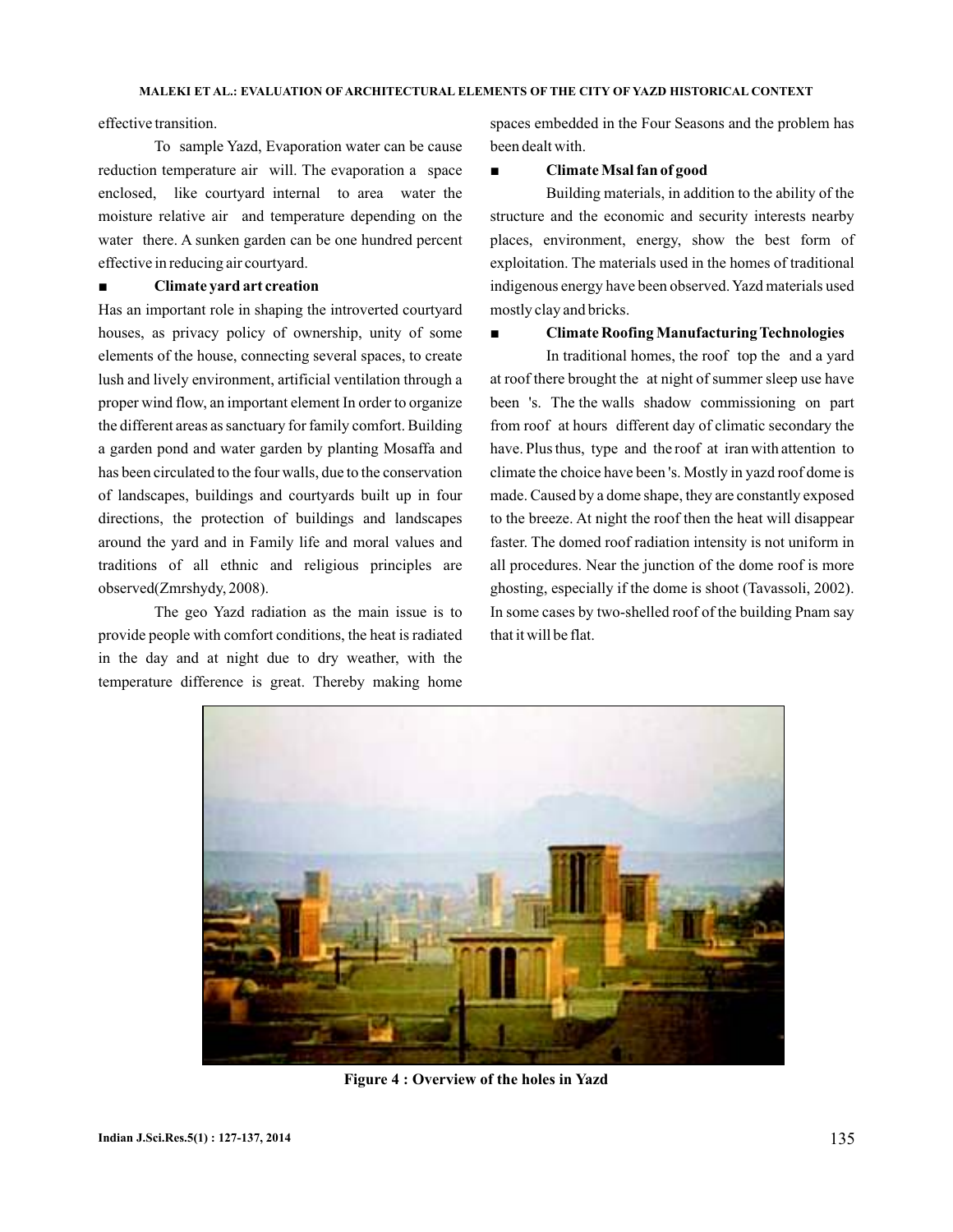effective transition.

To sample Yazd, Evaporation water can be cause reduction temperature air will. The evaporation a space enclosed, like courtyard internal to area water the moisture relative air and temperature depending on the water there. A sunken garden can be one hundred percent effective in reducing air courtyard.

## ■ **Climate yard art creation**

Has an important role in shaping the introverted courtyard houses, as privacy policy of ownership, unity of some elements of the house, connecting several spaces, to create lush and lively environment, artificial ventilation through a proper wind flow, an important element In order to organize the different areas as sanctuary for family comfort. Building a garden pond and water garden by planting Mosaffa and has been circulated to the four walls, due to the conservation of landscapes, buildings and courtyards built up in four directions, the protection of buildings and landscapes around the yard and in Family life and moral values and traditions of all ethnic and religious principles are observed(Zmrshydy, 2008).

The geo Yazd radiation as the main issue is to provide people with comfort conditions, the heat is radiated in the day and at night due to dry weather, with the temperature difference is great. Thereby making home

spaces embedded in the Four Seasons and the problem has been dealt with.

#### ■ **Climate Msal fan of good**

Building materials, in addition to the ability of the structure and the economic and security interests nearby places, environment, energy, show the best form of exploitation. The materials used in the homes of traditional indigenous energy have been observed. Yazd materials used mostly clay and bricks.

#### ■ **Climate Roofing Manufacturing Technologies**

In traditional homes, the roof top the and a yard at roof there brought the at night of summer sleep use have been 's. The the walls shadow commissioning on part from roof at hours different day of climatic secondary the have. Plus thus, type and the roof at iran with attention to climate the choice have been 's. Mostly in yazd roof dome is made. Caused by a dome shape, they are constantly exposed to the breeze. At night the roof then the heat will disappear faster. The domed roof radiation intensity is not uniform in all procedures. Near the junction of the dome roof is more ghosting, especially if the dome is shoot (Tavassoli, 2002). In some cases by two-shelled roof of the building Pnam say that it will be flat.



**Figure 4 : Overview of the holes in Yazd**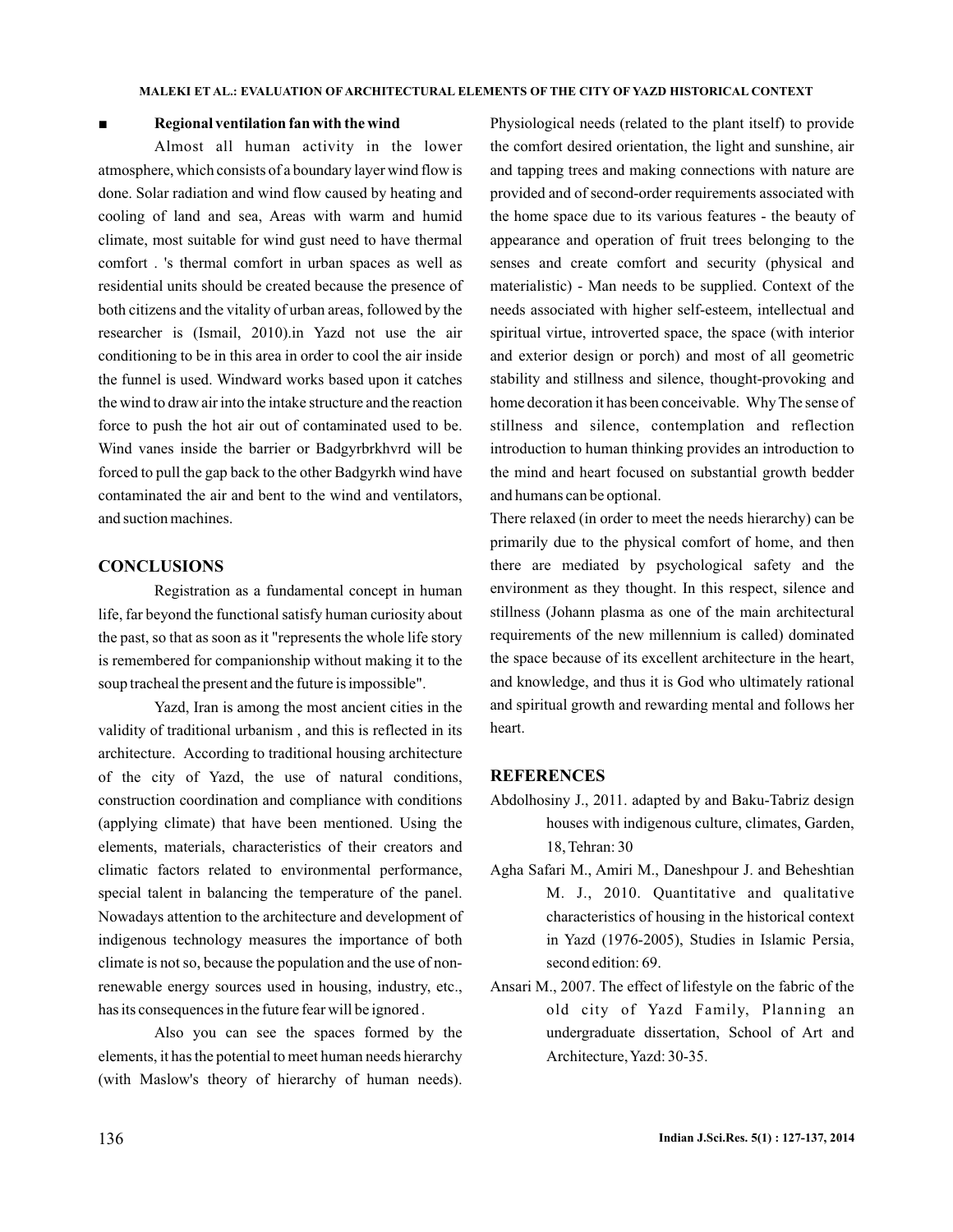### ■ **Regional ventilation fan with the wind**

Almost all human activity in the lower atmosphere, which consists of a boundary layer wind flow is done. Solar radiation and wind flow caused by heating and cooling of land and sea, Areas with warm and humid climate, most suitable for wind gust need to have thermal comfort . 's thermal comfort in urban spaces as well as residential units should be created because the presence of both citizens and the vitality of urban areas, followed by the researcher is (Ismail, 2010).in Yazd not use the air conditioning to be in this area in order to cool the air inside the funnel is used. Windward works based upon it catches the wind to draw air into the intake structure and the reaction force to push the hot air out of contaminated used to be. Wind vanes inside the barrier or Badgyrbrkhvrd will be forced to pull the gap back to the other Badgyrkh wind have contaminated the air and bent to the wind and ventilators, and suction machines.

## **CONCLUSIONS**

Registration as a fundamental concept in human life, far beyond the functional satisfy human curiosity about the past, so that as soon as it "represents the whole life story is remembered for companionship without making it to the soup tracheal the present and the future is impossible".

Yazd, Iran is among the most ancient cities in the validity of traditional urbanism , and this is reflected in its architecture. According to traditional housing architecture of the city of Yazd, the use of natural conditions, construction coordination and compliance with conditions (applying climate) that have been mentioned. Using the elements, materials, characteristics of their creators and climatic factors related to environmental performance, special talent in balancing the temperature of the panel. Nowadays attention to the architecture and development of indigenous technology measures the importance of both climate is not so, because the population and the use of nonrenewable energy sources used in housing, industry, etc., has its consequences in the future fear will be ignored .

Also you can see the spaces formed by the elements, it has the potential to meet human needs hierarchy (with Maslow's theory of hierarchy of human needs).

Physiological needs (related to the plant itself) to provide the comfort desired orientation, the light and sunshine, air and tapping trees and making connections with nature are provided and of second-order requirements associated with the home space due to its various features - the beauty of appearance and operation of fruit trees belonging to the senses and create comfort and security (physical and materialistic) - Man needs to be supplied. Context of the needs associated with higher self-esteem, intellectual and spiritual virtue, introverted space, the space (with interior and exterior design or porch) and most of all geometric stability and stillness and silence, thought-provoking and home decoration it has been conceivable. Why The sense of stillness and silence, contemplation and reflection introduction to human thinking provides an introduction to the mind and heart focused on substantial growth bedder and humans can be optional.

There relaxed (in order to meet the needs hierarchy) can be primarily due to the physical comfort of home, and then there are mediated by psychological safety and the environment as they thought. In this respect, silence and stillness (Johann plasma as one of the main architectural requirements of the new millennium is called) dominated the space because of its excellent architecture in the heart, and knowledge, and thus it is God who ultimately rational and spiritual growth and rewarding mental and follows her heart.

## **REFERENCES**

- Abdolhosiny J., 2011. adapted by and Baku-Tabriz design houses with indigenous culture, climates, Garden, 18, Tehran: 30
- Agha Safari M., Amiri M., Daneshpour J. and Beheshtian M. J., 2010. Quantitative and qualitative characteristics of housing in the historical context in Yazd (1976-2005), Studies in Islamic Persia, second edition: 69.
- Ansari M., 2007. The effect of lifestyle on the fabric of the old city of Yazd Family, Planning an undergraduate dissertation, School of Art and Architecture,Yazd: 30-35.